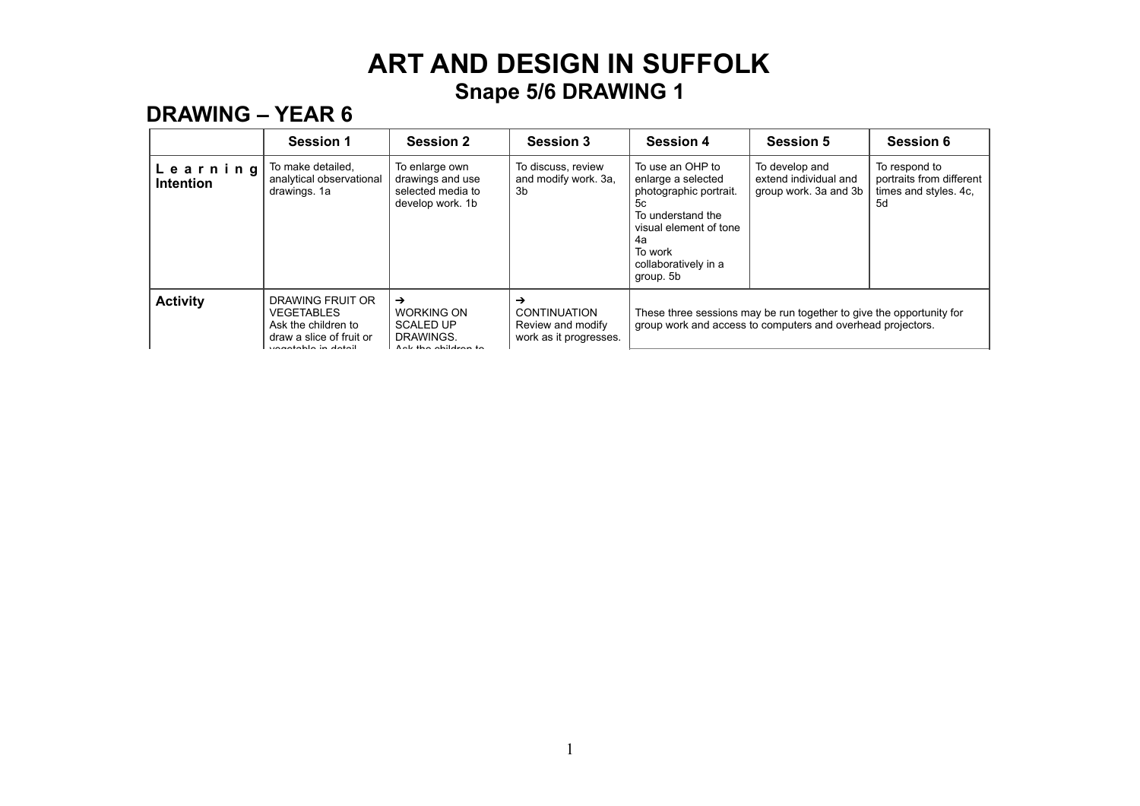### **DRAWING – YEAR 6**

|                              | <b>Session 1</b>                                                                                                | <b>Session 2</b>                                                               | <b>Session 3</b>                                                        | <b>Session 4</b>                                                                                                                                                            | <b>Session 5</b>                                                                                                                    | <b>Session 6</b>                                                         |
|------------------------------|-----------------------------------------------------------------------------------------------------------------|--------------------------------------------------------------------------------|-------------------------------------------------------------------------|-----------------------------------------------------------------------------------------------------------------------------------------------------------------------------|-------------------------------------------------------------------------------------------------------------------------------------|--------------------------------------------------------------------------|
| Learning<br><b>Intention</b> | To make detailed,<br>analytical observational<br>drawings. 1a                                                   | To enlarge own<br>drawings and use<br>selected media to<br>develop work. 1b    | To discuss, review<br>and modify work. 3a,<br>3b                        | To use an OHP to<br>enlarge a selected<br>photographic portrait.<br>5с<br>To understand the<br>visual element of tone<br>4а<br>To work<br>collaboratively in a<br>group. 5b | To develop and<br>extend individual and<br>group work. 3a and 3b                                                                    | To respond to<br>portraits from different<br>times and styles. 4c,<br>5d |
| <b>Activity</b>              | DRAWING FRUIT OR<br><b>VEGETABLES</b><br>Ask the children to<br>draw a slice of fruit or<br>waastabla in datail | →<br><b>WORKING ON</b><br><b>SCALED UP</b><br>DRAWINGS.<br>Ank the obildron to | →<br><b>CONTINUATION</b><br>Review and modify<br>work as it progresses. |                                                                                                                                                                             | These three sessions may be run together to give the opportunity for<br>group work and access to computers and overhead projectors. |                                                                          |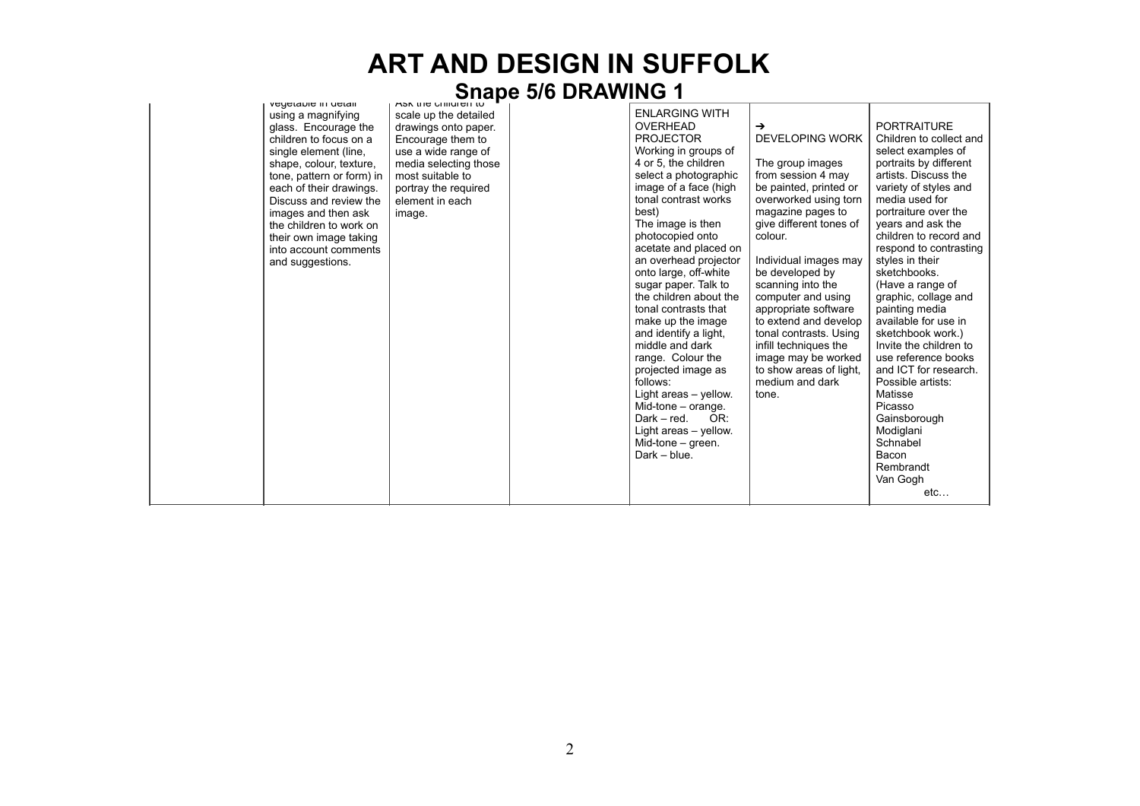# **ART AND DESIGN IN SUFFOLK**  Ask the child**ren DRAWING 1**

| veyetable in uetail<br>using a magnifying<br>glass. Encourage the<br>children to focus on a<br>single element (line,<br>shape, colour, texture,<br>tone, pattern or form) in<br>each of their drawings.<br>Discuss and review the<br>images and then ask<br>the children to work on<br>their own image taking<br>into account comments<br>and suggestions. | ASK the children to<br>scale up the detailed<br>drawings onto paper.<br>Encourage them to<br>use a wide range of<br>media selecting those<br>most suitable to<br>portray the required<br>element in each<br>image. | <b>ENLARGING WITH</b><br>OVERHEAD<br><b>PROJECTOR</b><br>Working in groups of<br>4 or 5, the children<br>select a photographic<br>image of a face (high<br>tonal contrast works<br>best)<br>The image is then<br>photocopied onto<br>acetate and placed on<br>an overhead projector<br>onto large, off-white<br>sugar paper. Talk to<br>the children about the<br>tonal contrasts that<br>make up the image<br>and identify a light,<br>middle and dark<br>range. Colour the<br>projected image as<br>follows:<br>Light areas - yellow.<br>Mid-tone $-$ orange.<br>Dark – red.<br>OR:<br>Light areas - yellow. | →<br>DEVELOPING WORK<br>The group images<br>from session 4 may<br>be painted, printed or<br>overworked using torn<br>magazine pages to<br>give different tones of<br>colour.<br>Individual images may<br>be developed by<br>scanning into the<br>computer and using<br>appropriate software<br>to extend and develop<br>tonal contrasts. Using<br>infill techniques the<br>image may be worked<br>to show areas of light,<br>medium and dark<br>tone. | <b>PORTRAITURE</b><br>Children to collect and<br>select examples of<br>portraits by different<br>artists. Discuss the<br>variety of styles and<br>media used for<br>portraiture over the<br>years and ask the<br>children to record and<br>respond to contrasting<br>styles in their<br>sketchbooks.<br>(Have a range of<br>graphic, collage and<br>painting media<br>available for use in<br>sketchbook work.)<br>Invite the children to<br>use reference books<br>and ICT for research.<br>Possible artists:<br>Matisse<br>Picasso<br>Gainsborough<br>Modiglani |
|------------------------------------------------------------------------------------------------------------------------------------------------------------------------------------------------------------------------------------------------------------------------------------------------------------------------------------------------------------|--------------------------------------------------------------------------------------------------------------------------------------------------------------------------------------------------------------------|----------------------------------------------------------------------------------------------------------------------------------------------------------------------------------------------------------------------------------------------------------------------------------------------------------------------------------------------------------------------------------------------------------------------------------------------------------------------------------------------------------------------------------------------------------------------------------------------------------------|-------------------------------------------------------------------------------------------------------------------------------------------------------------------------------------------------------------------------------------------------------------------------------------------------------------------------------------------------------------------------------------------------------------------------------------------------------|-------------------------------------------------------------------------------------------------------------------------------------------------------------------------------------------------------------------------------------------------------------------------------------------------------------------------------------------------------------------------------------------------------------------------------------------------------------------------------------------------------------------------------------------------------------------|
|                                                                                                                                                                                                                                                                                                                                                            |                                                                                                                                                                                                                    | Mid-tone - green.<br>$Dark - blue$ .                                                                                                                                                                                                                                                                                                                                                                                                                                                                                                                                                                           |                                                                                                                                                                                                                                                                                                                                                                                                                                                       | Schnabel<br>Bacon<br>Rembrandt<br>Van Gogh<br>etc                                                                                                                                                                                                                                                                                                                                                                                                                                                                                                                 |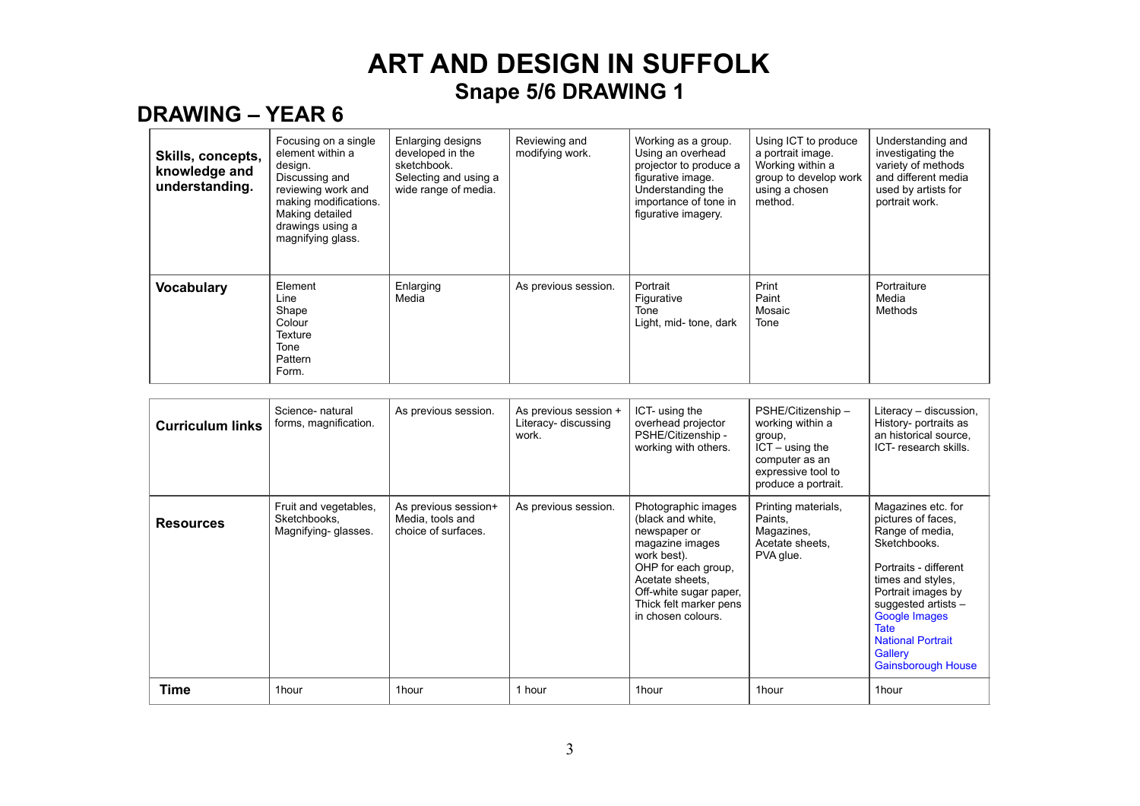### **DRAWING – YEAR 6**

| Skills, concepts,<br>knowledge and<br>understanding. | Focusing on a single<br>element within a<br>design.<br>Discussing and<br>reviewing work and<br>making modifications.<br>Making detailed<br>drawings using a<br>magnifying glass. | <b>Enlarging designs</b><br>developed in the<br>sketchbook.<br>Selecting and using a<br>wide range of media. | Reviewing and<br>modifying work. | Working as a group.<br>Using an overhead<br>projector to produce a<br>figurative image.<br>Understanding the<br>importance of tone in<br>figurative imagery. | Using ICT to produce<br>a portrait image.<br>Working within a<br>group to develop work<br>using a chosen<br>method. | Understanding and<br>investigating the<br>variety of methods<br>and different media<br>used by artists for<br>portrait work. |
|------------------------------------------------------|----------------------------------------------------------------------------------------------------------------------------------------------------------------------------------|--------------------------------------------------------------------------------------------------------------|----------------------------------|--------------------------------------------------------------------------------------------------------------------------------------------------------------|---------------------------------------------------------------------------------------------------------------------|------------------------------------------------------------------------------------------------------------------------------|
| <b>Vocabulary</b>                                    | Element<br>Line<br>Shape<br>Colour<br>Texture<br>Tone<br>Pattern<br>Form.                                                                                                        | Enlarging<br>Media                                                                                           | As previous session.             | Portrait<br>Figurative<br>Tone<br>Light, mid- tone, dark                                                                                                     | Print<br>Paint<br>Mosaic<br>Tone                                                                                    | Portraiture<br>Media<br>Methods                                                                                              |

| <b>Curriculum links</b> | Science- natural<br>forms, magnification.                    | As previous session.                                            | As previous session +<br>Literacy- discussing<br>work. | ICT- using the<br>overhead projector<br>PSHE/Citizenship -<br>working with others.                                                                                                                             | PSHE/Citizenship -<br>working within a<br>group,<br>$ICT - using the$<br>computer as an<br>expressive tool to<br>produce a portrait. | Literacy - discussion,<br>History- portraits as<br>an historical source.<br>ICT-research skills.                                                                                                                                                                           |
|-------------------------|--------------------------------------------------------------|-----------------------------------------------------------------|--------------------------------------------------------|----------------------------------------------------------------------------------------------------------------------------------------------------------------------------------------------------------------|--------------------------------------------------------------------------------------------------------------------------------------|----------------------------------------------------------------------------------------------------------------------------------------------------------------------------------------------------------------------------------------------------------------------------|
| <b>Resources</b>        | Fruit and vegetables,<br>Sketchbooks,<br>Magnifying-glasses. | As previous session+<br>Media, tools and<br>choice of surfaces. | As previous session.                                   | Photographic images<br>(black and white,<br>newspaper or<br>magazine images<br>work best).<br>OHP for each group,<br>Acetate sheets,<br>Off-white sugar paper,<br>Thick felt marker pens<br>in chosen colours. | Printing materials,<br>Paints.<br>Magazines,<br>Acetate sheets.<br>PVA glue.                                                         | Magazines etc. for<br>pictures of faces,<br>Range of media,<br>Sketchbooks.<br>Portraits - different<br>times and styles.<br>Portrait images by<br>suggested artists -<br>Google Images<br><b>Tate</b><br><b>National Portrait</b><br>Gallery<br><b>Gainsborough House</b> |
| Time                    | 1hour                                                        | 1hour                                                           | 1 hour                                                 | 1hour                                                                                                                                                                                                          | 1hour                                                                                                                                | 1hour                                                                                                                                                                                                                                                                      |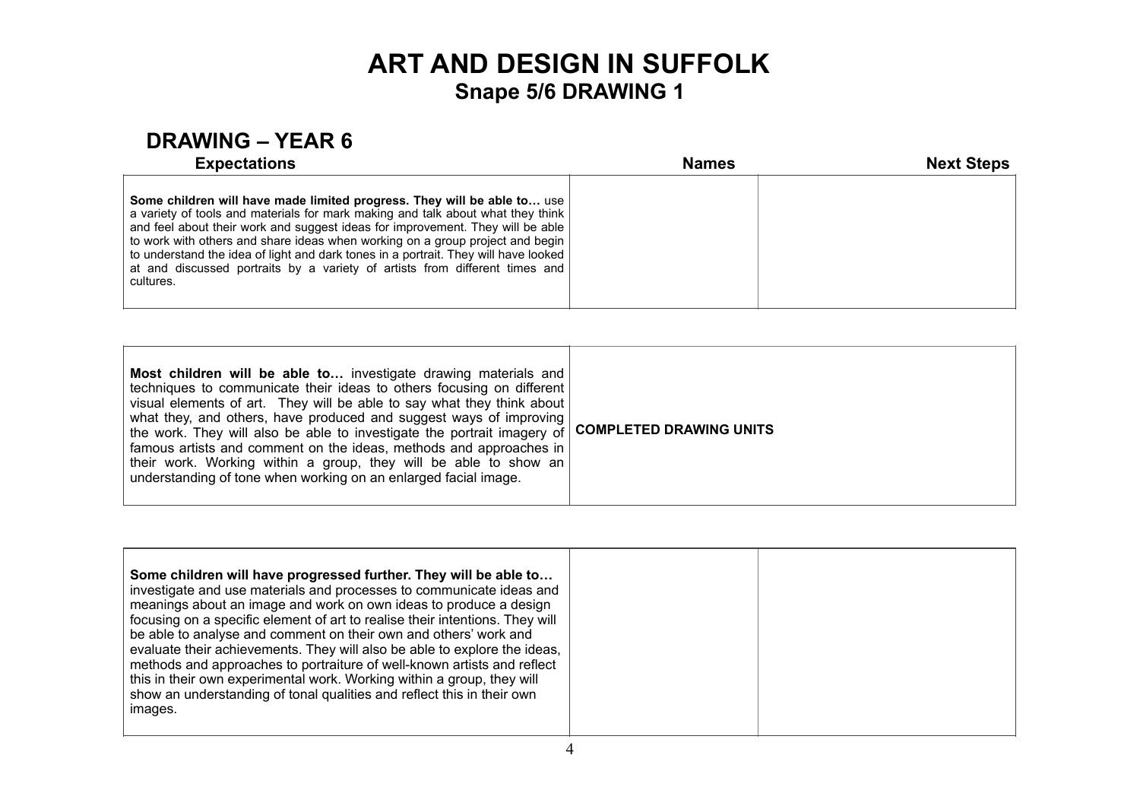### **DRAWING – YEAR 6**

| <b>Expectations</b>                                                                                                                                                                                                                                                                                                                                                                                                                                                                                              | <b>Names</b> | <b>Next Steps</b> |
|------------------------------------------------------------------------------------------------------------------------------------------------------------------------------------------------------------------------------------------------------------------------------------------------------------------------------------------------------------------------------------------------------------------------------------------------------------------------------------------------------------------|--------------|-------------------|
| Some children will have made limited progress. They will be able to use<br>a variety of tools and materials for mark making and talk about what they think<br>and feel about their work and suggest ideas for improvement. They will be able<br>to work with others and share ideas when working on a group project and begin<br>to understand the idea of light and dark tones in a portrait. They will have looked<br>at and discussed portraits by a variety of artists from different times and<br>cultures. |              |                   |

| Most children will be able to investigate drawing materials and<br>techniques to communicate their ideas to others focusing on different<br>visual elements of art. They will be able to say what they think about<br>what they, and others, have produced and suggest ways of improving<br>I the work. They will also be able to investigate the portrait imagery of COMPLETED DRAWING UNITS<br>famous artists and comment on the ideas, methods and approaches in<br>their work. Working within a group, they will be able to show an<br>understanding of tone when working on an enlarged facial image. |  |
|------------------------------------------------------------------------------------------------------------------------------------------------------------------------------------------------------------------------------------------------------------------------------------------------------------------------------------------------------------------------------------------------------------------------------------------------------------------------------------------------------------------------------------------------------------------------------------------------------------|--|
|------------------------------------------------------------------------------------------------------------------------------------------------------------------------------------------------------------------------------------------------------------------------------------------------------------------------------------------------------------------------------------------------------------------------------------------------------------------------------------------------------------------------------------------------------------------------------------------------------------|--|

| Some children will have progressed further. They will be able to<br>investigate and use materials and processes to communicate ideas and<br>meanings about an image and work on own ideas to produce a design<br>focusing on a specific element of art to realise their intentions. They will<br>be able to analyse and comment on their own and others' work and<br>evaluate their achievements. They will also be able to explore the ideas,<br>methods and approaches to portraiture of well-known artists and reflect<br>this in their own experimental work. Working within a group, they will<br>show an understanding of tonal qualities and reflect this in their own<br>images. |
|------------------------------------------------------------------------------------------------------------------------------------------------------------------------------------------------------------------------------------------------------------------------------------------------------------------------------------------------------------------------------------------------------------------------------------------------------------------------------------------------------------------------------------------------------------------------------------------------------------------------------------------------------------------------------------------|
|------------------------------------------------------------------------------------------------------------------------------------------------------------------------------------------------------------------------------------------------------------------------------------------------------------------------------------------------------------------------------------------------------------------------------------------------------------------------------------------------------------------------------------------------------------------------------------------------------------------------------------------------------------------------------------------|